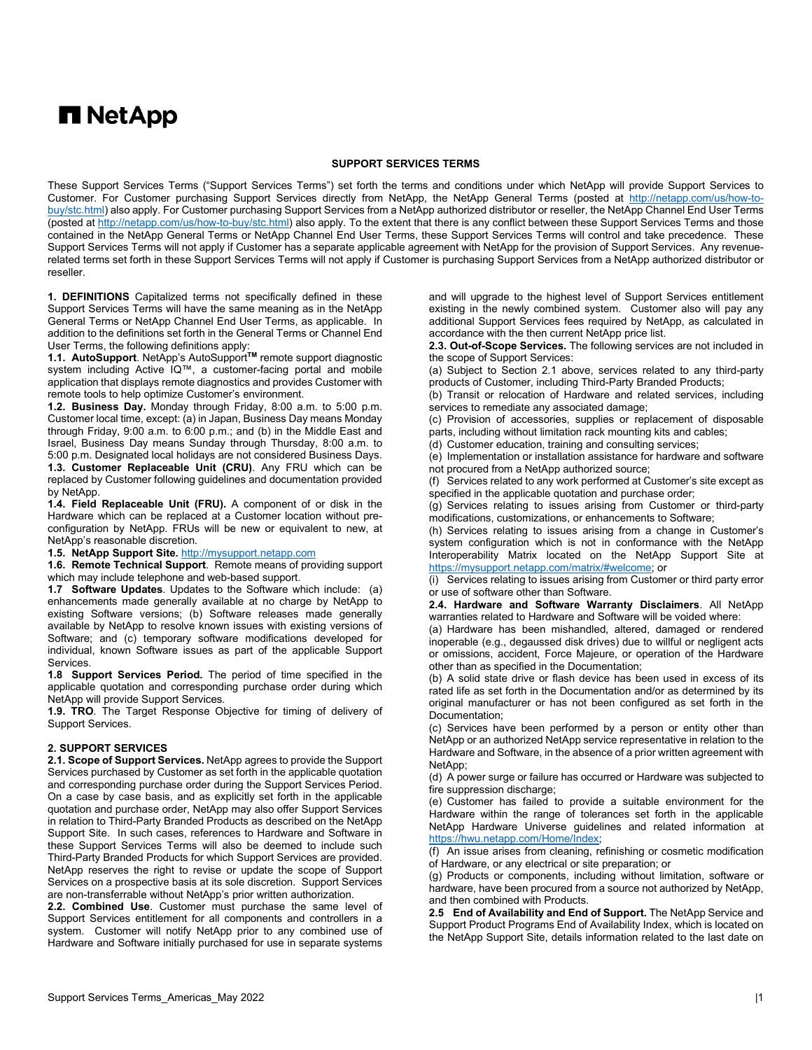# **n** NetApp

### **SUPPORT SERVICES TERMS**

These Support Services Terms ("Support Services Terms") set forth the terms and conditions under which NetApp will provide Support Services to Customer. For Customer purchasing Support Services directly from NetApp, the NetApp General Terms (posted at [http://netapp.com/us/how-to](http://netapp.com/us/how-to-buy/stc.html)[buy/stc.html\)](http://netapp.com/us/how-to-buy/stc.html) also apply. For Customer purchasing Support Services from a NetApp authorized distributor or reseller, the NetApp Channel End User Terms (posted at [http://netapp.com/us/how-to-buy/stc.html\)](http://netapp.com/us/how-to-buy/stc.html) also apply. To the extent that there is any conflict between these Support Services Terms and those contained in the NetApp General Terms or NetApp Channel End User Terms, these Support Services Terms will control and take precedence. These Support Services Terms will not apply if Customer has a separate applicable agreement with NetApp for the provision of Support Services. Any revenuerelated terms set forth in these Support Services Terms will not apply if Customer is purchasing Support Services from a NetApp authorized distributor or reseller.

**1. DEFINITIONS** Capitalized terms not specifically defined in these Support Services Terms will have the same meaning as in the NetApp General Terms or NetApp Channel End User Terms, as applicable. In addition to the definitions set forth in the General Terms or Channel End User Terms, the following definitions apply:

**1.1. AutoSupport**. NetApp's AutoSupport**TM** remote support diagnostic system including Active IQ™, a customer-facing portal and mobile application that displays remote diagnostics and provides Customer with remote tools to help optimize Customer's environment.

**1.2. Business Day.** Monday through Friday, 8:00 a.m. to 5:00 p.m. Customer local time, except: (a) in Japan, Business Day means Monday through Friday, 9:00 a.m. to 6:00 p.m.; and (b) in the Middle East and Israel, Business Day means Sunday through Thursday, 8:00 a.m. to 5:00 p.m. Designated local holidays are not considered Business Days.

**1.3. Customer Replaceable Unit (CRU)**. Any FRU which can be replaced by Customer following guidelines and documentation provided by NetApp.

**1.4. Field Replaceable Unit (FRU).** A component of or disk in the Hardware which can be replaced at a Customer location without preconfiguration by NetApp. FRUs will be new or equivalent to new, at NetApp's reasonable discretion.

**1.5. NetApp Support Site.** [http://mysupport.netapp.com](http://mysupport.netapp.com/)

**1.6. Remote Technical Support**. Remote means of providing support which may include telephone and web-based support.

**1.7 Software Updates**. Updates to the Software which include: (a) enhancements made generally available at no charge by NetApp to existing Software versions; (b) Software releases made generally available by NetApp to resolve known issues with existing versions of Software; and (c) temporary software modifications developed for individual, known Software issues as part of the applicable Support Services.

**1.8 Support Services Period.** The period of time specified in the applicable quotation and corresponding purchase order during which NetApp will provide Support Services.

**1.9. TRO**. The Target Response Objective for timing of delivery of Support Services.

### **2. SUPPORT SERVICES**

**2.1. Scope of Support Services.** NetApp agrees to provide the Support Services purchased by Customer as set forth in the applicable quotation and corresponding purchase order during the Support Services Period. On a case by case basis, and as explicitly set forth in the applicable quotation and purchase order, NetApp may also offer Support Services in relation to Third-Party Branded Products as described on the NetApp Support Site. In such cases, references to Hardware and Software in these Support Services Terms will also be deemed to include such Third-Party Branded Products for which Support Services are provided. NetApp reserves the right to revise or update the scope of Support Services on a prospective basis at its sole discretion. Support Services are non-transferrable without NetApp's prior written authorization.

**2.2. Combined Use**. Customer must purchase the same level of Support Services entitlement for all components and controllers in a system. Customer will notify NetApp prior to any combined use of Hardware and Software initially purchased for use in separate systems

and will upgrade to the highest level of Support Services entitlement existing in the newly combined system. Customer also will pay any additional Support Services fees required by NetApp, as calculated in accordance with the then current NetApp price list.

**2.3. Out-of-Scope Services.** The following services are not included in the scope of Support Services:

(a) Subject to Section 2.1 above, services related to any third-party products of Customer, including Third-Party Branded Products;

(b) Transit or relocation of Hardware and related services, including services to remediate any associated damage;

(c) Provision of accessories, supplies or replacement of disposable parts, including without limitation rack mounting kits and cables;

(d) Customer education, training and consulting services;

(e) Implementation or installation assistance for hardware and software not procured from a NetApp authorized source;

(f) Services related to any work performed at Customer's site except as specified in the applicable quotation and purchase order;

(g) Services relating to issues arising from Customer or third-party modifications, customizations, or enhancements to Software;

(h) Services relating to issues arising from a change in Customer's system configuration which is not in conformance with the NetApp Interoperability Matrix located on the NetApp Support Site at [https://mysupport.netapp.com/matrix/#welcome;](https://mysupport.netapp.com/matrix/#welcome) or

(i) Services relating to issues arising from Customer or third party error or use of software other than Software.

**2.4. Hardware and Software Warranty Disclaimers**. All NetApp warranties related to Hardware and Software will be voided where:

(a) Hardware has been mishandled, altered, damaged or rendered inoperable (e.g., degaussed disk drives) due to willful or negligent acts or omissions, accident, Force Majeure, or operation of the Hardware other than as specified in the Documentation;

(b) A solid state drive or flash device has been used in excess of its rated life as set forth in the Documentation and/or as determined by its original manufacturer or has not been configured as set forth in the Documentation;

(c) Services have been performed by a person or entity other than NetApp or an authorized NetApp service representative in relation to the Hardware and Software, in the absence of a prior written agreement with NetApp;

(d) A power surge or failure has occurred or Hardware was subjected to fire suppression discharge;

(e) Customer has failed to provide a suitable environment for the Hardware within the range of tolerances set forth in the applicable NetApp Hardware Universe guidelines and related information at [https://hwu.netapp.com/Home/Index;](https://hwu.netapp.com/Home/Index)

(f) An issue arises from cleaning, refinishing or cosmetic modification of Hardware, or any electrical or site preparation; or

(g) Products or components, including without limitation, software or hardware, have been procured from a source not authorized by NetApp, and then combined with Products.

**2.5 End of Availability and End of Support.** The NetApp Service and Support Product Programs End of Availability Index, which is located on the NetApp Support Site, details information related to the last date on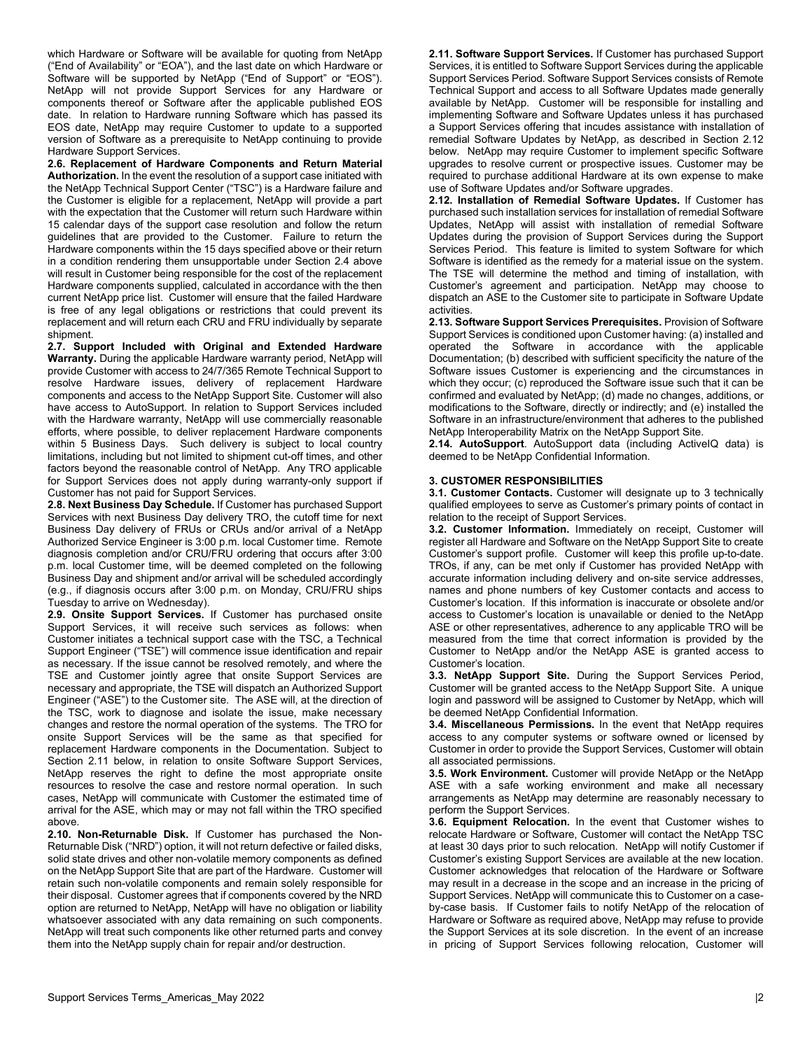which Hardware or Software will be available for quoting from NetApp ("End of Availability" or "EOA"), and the last date on which Hardware or Software will be supported by NetApp ("End of Support" or "EOS"). NetApp will not provide Support Services for any Hardware or components thereof or Software after the applicable published EOS date. In relation to Hardware running Software which has passed its EOS date, NetApp may require Customer to update to a supported version of Software as a prerequisite to NetApp continuing to provide Hardware Support Services.

**2.6. Replacement of Hardware Components and Return Material Authorization.** In the event the resolution of a support case initiated with the NetApp Technical Support Center ("TSC") is a Hardware failure and the Customer is eligible for a replacement, NetApp will provide a part with the expectation that the Customer will return such Hardware within 15 calendar days of the support case resolution and follow the return guidelines that are provided to the Customer. Failure to return the Hardware components within the 15 days specified above or their return in a condition rendering them unsupportable under Section 2.4 above will result in Customer being responsible for the cost of the replacement Hardware components supplied, calculated in accordance with the then current NetApp price list. Customer will ensure that the failed Hardware is free of any legal obligations or restrictions that could prevent its replacement and will return each CRU and FRU individually by separate shipment.

**2.7. Support Included with Original and Extended Hardware Warranty.** During the applicable Hardware warranty period, NetApp will provide Customer with access to 24/7/365 Remote Technical Support to resolve Hardware issues, delivery of replacement Hardware components and access to the NetApp Support Site. Customer will also have access to AutoSupport. In relation to Support Services included with the Hardware warranty, NetApp will use commercially reasonable efforts, where possible, to deliver replacement Hardware components within 5 Business Days. Such delivery is subject to local country limitations, including but not limited to shipment cut-off times, and other factors beyond the reasonable control of NetApp. Any TRO applicable for Support Services does not apply during warranty-only support if Customer has not paid for Support Services.

**2.8. Next Business Day Schedule.** If Customer has purchased Support Services with next Business Day delivery TRO, the cutoff time for next Business Day delivery of FRUs or CRUs and/or arrival of a NetApp Authorized Service Engineer is 3:00 p.m. local Customer time. Remote diagnosis completion and/or CRU/FRU ordering that occurs after 3:00 p.m. local Customer time, will be deemed completed on the following Business Day and shipment and/or arrival will be scheduled accordingly (e.g., if diagnosis occurs after 3:00 p.m. on Monday, CRU/FRU ships Tuesday to arrive on Wednesday).

**2.9. Onsite Support Services.** If Customer has purchased onsite Support Services, it will receive such services as follows: when Customer initiates a technical support case with the TSC, a Technical Support Engineer ("TSE") will commence issue identification and repair as necessary. If the issue cannot be resolved remotely, and where the TSE and Customer jointly agree that onsite Support Services are necessary and appropriate, the TSE will dispatch an Authorized Support Engineer ("ASE") to the Customer site. The ASE will, at the direction of the TSC, work to diagnose and isolate the issue, make necessary changes and restore the normal operation of the systems. The TRO for onsite Support Services will be the same as that specified for replacement Hardware components in the Documentation. Subject to Section 2.11 below, in relation to onsite Software Support Services, NetApp reserves the right to define the most appropriate onsite resources to resolve the case and restore normal operation. In such cases, NetApp will communicate with Customer the estimated time of arrival for the ASE, which may or may not fall within the TRO specified above.

**2.10. Non-Returnable Disk.** If Customer has purchased the Non-Returnable Disk ("NRD") option, it will not return defective or failed disks, solid state drives and other non-volatile memory components as defined on the NetApp Support Site that are part of the Hardware. Customer will retain such non-volatile components and remain solely responsible for their disposal. Customer agrees that if components covered by the NRD option are returned to NetApp, NetApp will have no obligation or liability whatsoever associated with any data remaining on such components. NetApp will treat such components like other returned parts and convey them into the NetApp supply chain for repair and/or destruction.

**2.11. Software Support Services.** If Customer has purchased Support Services, it is entitled to Software Support Services during the applicable Support Services Period. Software Support Services consists of Remote Technical Support and access to all Software Updates made generally available by NetApp. Customer will be responsible for installing and implementing Software and Software Updates unless it has purchased a Support Services offering that incudes assistance with installation of remedial Software Updates by NetApp, as described in Section 2.12 below. NetApp may require Customer to implement specific Software upgrades to resolve current or prospective issues. Customer may be required to purchase additional Hardware at its own expense to make use of Software Updates and/or Software upgrades.

**2.12. Installation of Remedial Software Updates.** If Customer has purchased such installation services for installation of remedial Software Updates, NetApp will assist with installation of remedial Software Updates during the provision of Support Services during the Support Services Period. This feature is limited to system Software for which Software is identified as the remedy for a material issue on the system. The TSE will determine the method and timing of installation, with Customer's agreement and participation. NetApp may choose to dispatch an ASE to the Customer site to participate in Software Update activities.

**2.13. Software Support Services Prerequisites.** Provision of Software Support Services is conditioned upon Customer having: (a) installed and operated the Software in accordance with the applicable Documentation; (b) described with sufficient specificity the nature of the Software issues Customer is experiencing and the circumstances in which they occur; (c) reproduced the Software issue such that it can be confirmed and evaluated by NetApp; (d) made no changes, additions, or modifications to the Software, directly or indirectly; and (e) installed the Software in an infrastructure/environment that adheres to the published NetApp Interoperability Matrix on the NetApp Support Site.

**2.14. AutoSupport**. AutoSupport data (including ActiveIQ data) is deemed to be NetApp Confidential Information.

## **3. CUSTOMER RESPONSIBILITIES**

**3.1. Customer Contacts.** Customer will designate up to 3 technically qualified employees to serve as Customer's primary points of contact in relation to the receipt of Support Services.

**3.2. Customer Information.** Immediately on receipt, Customer will register all Hardware and Software on the NetApp Support Site to create Customer's support profile. Customer will keep this profile up-to-date. TROs, if any, can be met only if Customer has provided NetApp with accurate information including delivery and on-site service addresses, names and phone numbers of key Customer contacts and access to Customer's location. If this information is inaccurate or obsolete and/or access to Customer's location is unavailable or denied to the NetApp ASE or other representatives, adherence to any applicable TRO will be measured from the time that correct information is provided by the Customer to NetApp and/or the NetApp ASE is granted access to Customer's location.

**3.3. NetApp Support Site.** During the Support Services Period, Customer will be granted access to the NetApp Support Site. A unique login and password will be assigned to Customer by NetApp, which will be deemed NetApp Confidential Information.

**3.4. Miscellaneous Permissions.** In the event that NetApp requires access to any computer systems or software owned or licensed by Customer in order to provide the Support Services, Customer will obtain all associated permissions.

**3.5. Work Environment.** Customer will provide NetApp or the NetApp ASE with a safe working environment and make all necessary arrangements as NetApp may determine are reasonably necessary to perform the Support Services.

**3.6. Equipment Relocation.** In the event that Customer wishes to relocate Hardware or Software, Customer will contact the NetApp TSC at least 30 days prior to such relocation. NetApp will notify Customer if Customer's existing Support Services are available at the new location. Customer acknowledges that relocation of the Hardware or Software may result in a decrease in the scope and an increase in the pricing of Support Services. NetApp will communicate this to Customer on a caseby-case basis. If Customer fails to notify NetApp of the relocation of Hardware or Software as required above, NetApp may refuse to provide the Support Services at its sole discretion. In the event of an increase in pricing of Support Services following relocation, Customer will